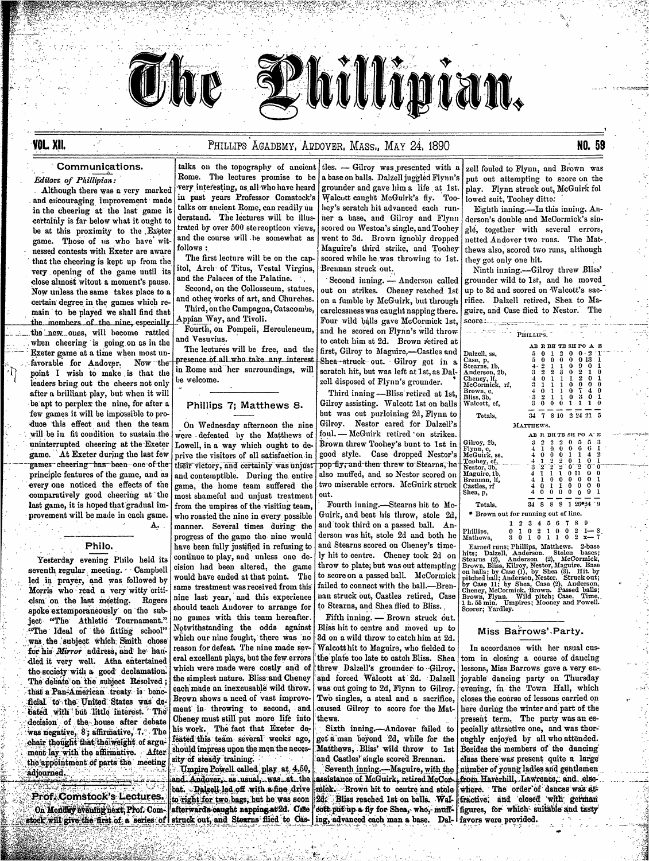

## Communications.

Editors of Phillipian:

**YOL. XII.** 

Although there was a very marked and encouraging improvement made in the cheering at the last game it certainly is far below what it ought to be at this proximity to the Exeter game. Those of us who have witnessed contests with Exeter are aware that the cheering is kept up from the very opening of the game until its close almost witout a moment's pause. Now unless the same takes place to a certain degree in the games which remain to be played we shall find that the members of the nine especially the new ones, will become rattled when cheering is going on as in the Exeter game at a time when most unfavorable for Andover. Now the point I wish to make is that the leaders bring out the cheers not only after a brilliant play, but when it will be apt to perplex the nine, for after a few games it will be impossible to produce this effect and then the team will be in fit condition to sustain the uninterrupted cheering at the Exeter game. At Exeter during the last few games cheering has been one of the principle features of the game, and as every one noticed the effects of the comparatively good cheering at the last game, it is hoped that gradual improvement will be made in each game. A.

### Philo.

Yesterday evening Philo held its seventh regular meeting. Campbell led in prayer, and was followed by Morris who read a very witty criticism on the last meeting. Rogers spoke extemporaneously on the subject "The Athletic Tournament." "The Ideal of the fitting school" was the subject which Smith chose for his Mirror address, and he handled it very well. Atha entertained the society with a good declamation. The debate on the subject Resolved; that a Pan-American treaty is beneficial to the United States was debated with but little interest. The decision of the house after debate was negative, 8; affirmative, 7. The chair thought that the weight of argument lay with the affirmative. After the appointment of parts the meeting 'adjourned.

Prof. Comstock's Lectures. On Monday evening next, Prof. Com-

talks on the topography of ancient Rome. The lectures promise to be very interesting, as all who have heard in past years Professor Comstock's talks on ancient Rome, can readily un derstand. The lectures will be illustrated by over 500 stereopticon views. and the course will be somewhat as follows:

The first lecture will be on the capitol, Arch of Titus, Vestal Virgins, and the Palaces of the Palatine.

Second, on the Collosseum, statues, and other works of art, and Churches. Third, on the Campagna, Catacombs,

Appian Way, and Tivoli. Fourth, on Pompeii, Herculeneum,

and Vesuvius. The lectures will be free, and the presence of all who take any interest in Rome and her surroundings, will

# Phillips 7; Matthews 8.

be welcome.

On Wednesday afternoon the nine were defeated by the Matthews of Lowell, in a way which ought to deprive the visitors of all satisfaction in their victory, and certainly was unjust and contemptible. During the entire game, the home team suffered the most shameful and unjust treatment from the umpires of the visiting team, who roasted the nine in every possible manner. Several times during the progress of the game the nine would have been fully justified in refusing to continue to play, and unless one decision had been altered, the game would have ended at that point. The same treatment was received from this nine last year, and this experience should teach Andover to arrange for no games with this team hereafter. Notwithstanding the odds against which our nine fought, there was no reason for defeat. The nine made several excellent plays, but the few errors which were made were costly and of the simplest nature. Bliss and Cheney each made an inexcusable wild throw. Brown shows a need of vast improvement in throwing to second, and Cheney must still put more life into his work. The fact that Exeter defeated this team several weeks ago, should impress upon the men the necessity of steady training.

Umpire Powell called play at 4.50, and Andover, as usual, was at the bat. Dalgell-led off with a fine drive to right for two bags, but he was soon afterwards caught napping at 2d. Case stock will give the first of a series of struck out, and Stearns flied to Castles.  $\overline{-}$  Gilrov was presented with a a base on balls. Dalzell juggled Flynn's grounder and gave him a life at 1st. Walcott caught McGuirk's fly. Toohey's scratch hit advanced each runher a base, and Gilroy and Flynn scored on Weston's single, and Toohey went to 3d. Brown ignobly dropped Maguire's third strike, and Toohey scored while he was throwing to 1st. Brennan struck out.

hillipian.

Second inning. - Anderson called out on strikes. Cheney reached 1st on a fumble by McGuirk, but through carelessness was caught napping there. Four wild balls gave McCormick 1st, and he scored on Flynn's wild throw to catch him at 2d. Brown retired at first, Gilrov to Magnire.—Castles and Shea-struck out. Gilroy got in a scratch hit, but was left at 1st, as Dalzell disposed of Flynn's grounder.

Third inning -- Bliss retired at 1st, Gilroy assisting. Walcott 1st on balls but was out purloining 2d, Flynn to Gilroy. Nestor cared for Dalzell's foul. - McGuirk retired on strikes. Brown threw Toohey's bunt to 1st in good style. Case dropped Nestor's pop-fly, and then threw to Stearns, he also muffed, and so Nestor scored on two miserable errors. McGuirk struck out.

Fourth inning.-Stearns hit to Mc-Guirk, and beat his throw, stole 2d, and took third on a passed ball. Anderson was hit, stole 2d and both he and Stearns scored on Cheney's timely hit to centre. Cheney took 2d on throw to plate; but was out attempting to score on a passed ball. McCormick failed to connect with the ball.-Brennan struck out, Castles retired, Case to Stearns, and Shea flied to Bliss.,

Fifth inning. - Brown struck out. Bliss hit to centre and moved up to 3d on a wild throw to catch him at 2d. Walcott hit to Maguire, who fielded to the plate too late to catch Bliss. Shea threw Dalzell's grounder to Gilroy. and forced Walcott at 2d. Dalzell was out going to 2d, Flynn to Gilroy. Two singles, a steal and a sacrifice, caused Gilroy to score for the Matthews.

Sixth inning.-Andover failed to get a man beyond 2d, while for the Matthews, Bliss' wild throw to 1st and Castles' single scored Brennan.

Seventh inning.-Maguire, with the assistance of McGuirk, retired McCormick. Brown hit to centre and stole 2d. Bliss reached 1st on balls. Waldott put up a fly for Shea, who, muffing, advanced each man a base. Dal-

zell fouled to Flynn, and Brown was put out attempting to score on the play. Flynn struck out, McGuirk fol lowed suit. Toohey ditto:

Eighth inning.-In this inning. Anderson's double and McCormick's single, together with several errors, netted Andover two runs. The Matthews also, scored two runs, although they got only one hit.

Ninth inning.-Gilroy threw Bliss' grounder wild to 1st, and he moved up to 3d and scored on Walcott's sacrifice. Dalzell retired, Shea to Maguire, and Case flied to Nestor. The  $score:$ 

| PHILLIPS.                          |   |   |               |                                                |               |               |              |                  |                |               |  |
|------------------------------------|---|---|---------------|------------------------------------------------|---------------|---------------|--------------|------------------|----------------|---------------|--|
|                                    |   |   | AB            |                                                |               | R BH TB SH PO |              |                  | А              | Ľ             |  |
| Dalzell, ss,                       |   |   | 5             | $\bf{0}$                                       | 1             | 2             | 0            | 0                | 2              | r             |  |
| Case, p,                           |   |   | 5             | $\mathbf{0}$                                   | 0             | 0             | $\mathbf{0}$ | 0                | 13             | 1             |  |
| Stearns, 1b,                       |   |   |               | 2                                              |               | 1             | 0            | 9<br>2<br>2<br>0 | $\bf{0}$       | 1             |  |
| Anderson, 2b,                      |   |   | 1343          | $\begin{smallmatrix} 2\0\0\1\end{smallmatrix}$ | $\frac{1}{2}$ | 3             | 0            |                  | 1              | 0             |  |
| Cheney, If,                        |   |   |               |                                                |               | $\mathbf{1}$  | 1            |                  | $\mathbf{0}$   | 1             |  |
| McCormick, rf,                     |   |   |               |                                                | $\frac{1}{1}$ | $\mathbf 1$   | $\mathbf{0}$ |                  | $\mathbf{0}$   | 0             |  |
| Brown, c,                          |   |   | $\frac{4}{3}$ | $\mathbf{0}$                                   |               | 1             | $\bf{0}$     | T                | $\overline{1}$ | 0             |  |
| Bliss, 8b,                         |   |   |               | 2                                              | $\mathbf{1}$  | $\mathbf{1}$  | $\bf{0}$     | 3                | $\mathbf{0}$   | 1             |  |
| Walcott, cf,                       |   |   | 3             | 0                                              | 0             | $\bf{0}$      | 1            | 1                | 1              | 0             |  |
| Totals,                            |   |   | 34            |                                                |               | 8 10          |              | 2 24 21          |                | 5             |  |
| MATTHEWS.                          |   |   |               |                                                |               |               |              |                  |                |               |  |
|                                    |   |   | AB            | $\mathbf F$                                    |               | BH TB SH PO   |              |                  | A"             | Е             |  |
| Gilroy, 2b,                        |   |   | 3             | 2                                              |               | 2             | 0            | 5                | 5              | 3             |  |
| Flynn, c,                          |   |   |               | 1                                              |               | 0             | 0            | G                | 6              | 1             |  |
| McGuirk, ss.                       |   |   |               | $\bf{0}$                                       |               |               | $\mathbf{1}$ | 1                | 4              | $\frac{2}{1}$ |  |
| Toohey, cf,                        |   |   | 44434444      | 1                                              | $\frac{5}{2}$ | $\frac{0}{2}$ | $\mathbf{0}$ | 1                | 0              |               |  |
| Nestor, 3b,                        |   |   |               | $\mathbf{2}^{\!\top}$                          |               | 2             | 07           | 2                | σ              | $\mathbf 0$   |  |
| Maguire, 1b,                       |   |   |               | $\overline{1}$                                 | 1             | $\mathbf{1}$  |              | 011              | 0              | $\bf{0}$      |  |
| Brennan, lf,                       |   |   |               |                                                | $\mathbf{0}$  | $\bf{0}$      | $\mathbf{0}$ | 0                | 0              | 1             |  |
| Castles, rf                        |   |   |               | Q.                                             | 1             | 1             | $\bf{0}$     | 0                | 0              | 0             |  |
| Shea, p,                           |   |   | 4             | $\mathbf 0$                                    | 0             | 0             | 0            | $\bf{0}$         | 9              | 1             |  |
|                                    |   |   |               |                                                |               |               |              |                  |                |               |  |
| Totals,                            |   |   | 34            | 8                                              | 8             | 8             | 1            | 26*24            |                | - 9           |  |
| Brown out for running out of line. |   |   |               |                                                |               |               |              |                  |                |               |  |
|                                    | 1 |   | 3             | 4                                              | õ             | 6             | 7            | 8                | 9              |               |  |
| Phillips,                          | 0 | 1 | 0             | 2                                              | 1             | 0             | 0            | 2                |                |               |  |
| Mathews.                           | 3 | 0 | 1             | 0                                              | ı             | $\mathbf{1}$  | 0            | 2                |                |               |  |
|                                    |   |   |               |                                                |               |               |              |                  |                |               |  |

Earned runs; Phillips, Matthews. 2-base<br>hits; Dalzell, Anderson. Stolen bases;<br>Stearns (2), Anderson (2), McCormick,<br>Brown, Bliss, Kilvoy, Nestor, Maguire. Base<br>on balls; by Case (1), by Shea (3). Hit. by<br>pitched ball; And Earned runs; Phillips, Matthews.

### Miss Barrows' Party.

In accordance with her usual custom in closing a course of dancing lessons, Miss Barrows gave a very enjoyable dancing party on Thursday evening, in the Town Hall, which closes the course of lessons carried on here during the winter and part of the present term. The party was an especially attractive one, and was thoroughly enjoyed by all who attended. Besides the members of the dancing class there was present quite a large number of young ladies and gentlemen from Haverhill, Lawrence, and elsewhere. The order of dances was attractive, and closed with german figures, for which suitable and tasty favors were provided.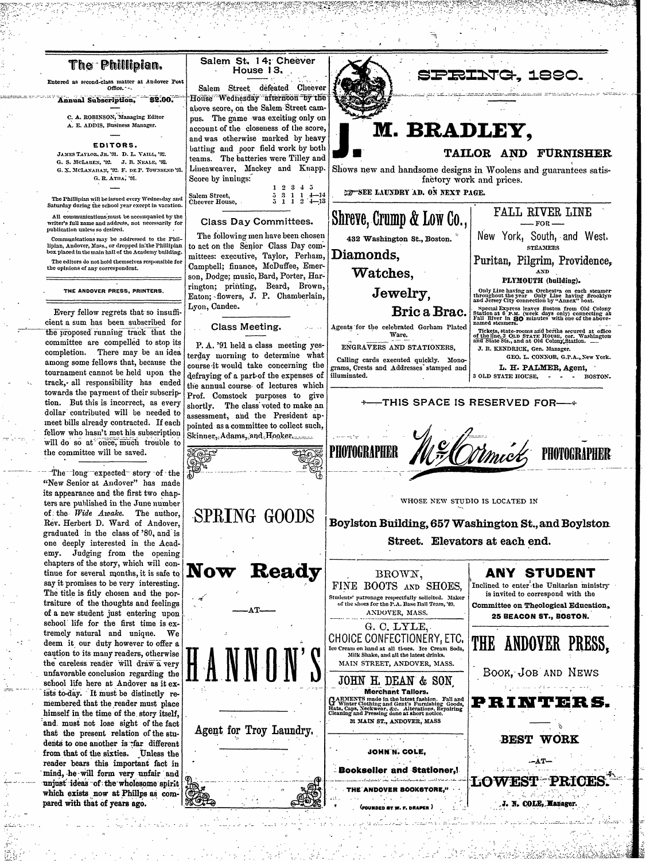## The Phillipian.

Entered as second-class matter at Andover Post Office. - -

 $32.00$ . Annual Subscription,

C. A. ROBINSON, Managing Editor A. E. ADDIS, Business Manager.

#### EDITORS.

JAMES TAYLOR, JR. '91. D. L. VAILL, '92. G. S. MCLAREN, '92. J. B. NEALE, '92. G. X. MCLANAHAN, '92. F. DE P. TOWNSEND'91. G. R. ATHA, '91.

The Phillipian will be issued every Wednesday and Saturday during the school year except in vacation

All communications must be accompanied by the writer's full name and address, not necessarily for publication unless so desired.

Communications may be addressed to the Phillipian, Andover, Mass., or dropped in the Phillipian<br>box placed in the main hall of the Academy building.

The editors do not hold themselves responsible for the opinions of any correspondent.

#### THE ANDOVER PRESS, PRINTERS.

Every fellow regrets that so insufficient a sum has been subscribed for the proposed running track that the committee are compelled to stop its completion. There may be an idea among some fellows that, because the tournament cannot be held upon the track, all responsibility has ended towards the payment of their subscription. But this is incorrect, as every dollar contributed will be needed to meet bills already contracted. If each fellow who hasn't met his subscription will do so at once, much trouble to the committee will be saved.

The long expected story of the "New Senior at Andover" has made its appearance and the first two chapters are published in the June number of the Wide Awake. The author, Rev. Herbert D. Ward of Andover, graduated in the class of '80, and is one deeply interested in the Academy. Judging from the opening chapters of the story, which will continue for several months, it is safe to say it promises to be very interesting. The title is fitly chosen and the portraiture of the thoughts and feelings of a new student just entering upon school life for the first time is extremely natural and unique. We deem it our duty however to offer a caution to its many readers, otherwise the careless reader will draw a very unfavorable conclusion regarding the school life here at Andover as it exists to-day. It must be distinctly remembered that the reader must place himself in the time of the story itself, and must not lose sight of the fact that the present relation of the students to one another is than different from that of the sixties. Unless the reader bears this important fact in mind, he will form very unfair and unjust ideas of the wholesome spirit which exists now at Phillps as compared with that of years ago.



House Wednesday afternoon by the above score, on the Salem Street campus. The game was exciting only on account of the closeness of the score, and was otherwise marked by heavy batting and poor field work by both teams. The batteries were Tilley and Lineaweaver, Mackey and Knapp. Score by innings:

|                                  | $1\; 2\; 3\; 4\; 5$ |  |                                                                                   |
|----------------------------------|---------------------|--|-----------------------------------------------------------------------------------|
| $\frac{1}{\text{Cheever House}}$ |                     |  | $\begin{array}{ccccc}\n5 & 3 & 1 & 1 & 4-14 \\ 5 & 1 & 1 & 2 & 4-13\n\end{array}$ |

#### **Class Day Committees.**

The following men have been chosen to act on the Senior Class Day committees: executive, Taylor, Perham, Campbell; finance, McDuffee, Emerson, Dodge; music, Bard, Porter, Harrington; printing, Beard, Brown, Eaton; flowers, J. P. Chamberlain, Lyon, Candee.

Class Meeting.

P.A. '91 held a class meeting yesterday morning to determine what course it would take concerning the defraying of a part of the expenses of the annual course of lectures which Prof. Comstock purposes to give shortly. The class voted to make an assessment, and the President appointed as a committee to collect such, Skinner, Adams, and Hooker



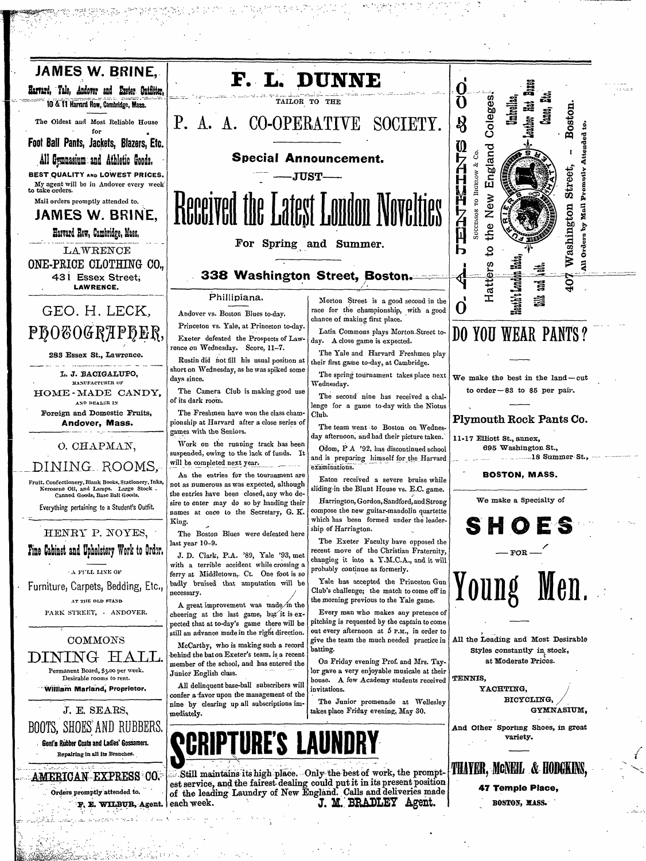